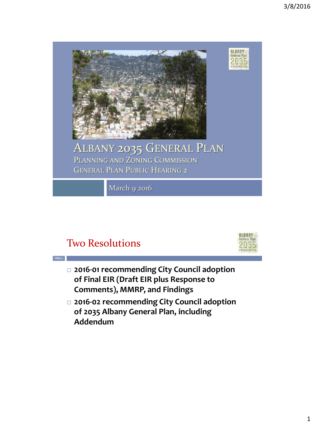

March 9 2016

## Two Resolutions

**Slide 2**



- **2016-01 recommending City Council adoption of Final EIR (Draft EIR plus Response to Comments), MMRP, and Findings**
- **2016-02 recommending City Council adoption of 2035 Albany General Plan, including Addendum**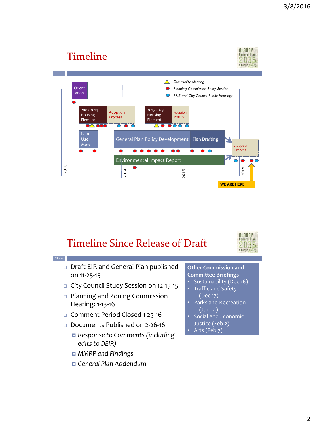#### **ALBANY** Seneral Plan Timeline albany2035.org *Community Meeting* Orient *Planning Commission Study Session* -ation *P&Z and City Council Public Hearings* 2007-2014 2015-2023 Adoption Adoption Housing Housing Process **Process** Element Element  $\bullet \triangle \bullet$  $\overline{\triangle\bullet\bullet\circ\circ}$ Land Use General Plan Policy Development Plan Drafting Map Adoption Process d  $\bullet\bullet\bullet\bullet$  $\bullet$   $\circ$  $\bullet$ Environmental Impact Report ó ä 2013 2016 2014 2015 **WE ARE HERE**

## Timeline Since Release of Draft



- □ Draft EIR and General Plan published on 11-25-15
- □ City Council Study Session on 12-15-15
- □ Planning and Zoning Commission Hearing: 1-13-16
- □ Comment Period Closed 1-25-16
- □ Documents Published on 2-26-16
	- *Response to Comments (including edits to DEIR)*
	- *MMRP and Findings*

**Slide 4**

*General Plan Addendum*

#### **Other Commission and Committee Briefings**

- Sustainability (Dec 16)
- Traffic and Safety (Dec 17)
- Parks and Recreation (Jan 14)
- Social and Economic Justice (Feb 2)
- Arts (Feb 7)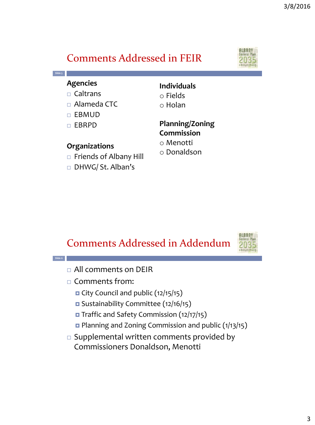## Comments Addressed in FEIR



#### **Agencies**

**Slide 5**

**Slide 6**

 $\Box$  Caltrans

Alameda CTC

**Organizations**

 $\Box$  Friends of Albany Hill □ DHWG/ St. Alban's

□ EBMUD

EBRPD

#### **Individuals**

o Fields o Holan

**Planning/Zoning Commission** o Menotti o Donaldson

# Comments Addressed in Addendum



All comments on DEIR

□ Comments from:

- Gity Council and public (12/15/15)
- Sustainability Committee (12/16/15)
- Traffic and Safety Commission (12/17/15)
- Planning and Zoning Commission and public (1/13/15)
- $\square$  Supplemental written comments provided by Commissioners Donaldson, Menotti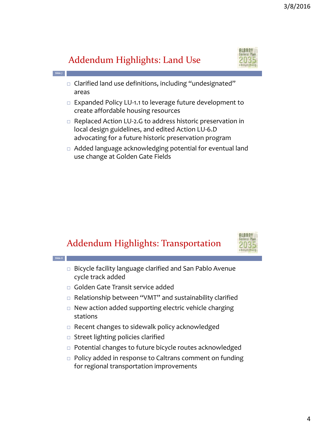#### Addendum Highlights: Land Use

**Slide 7**

**Slide 8**



- $\Box$  Clarified land use definitions, including "undesignated" areas
- □ Expanded Policy LU-1.1 to leverage future development to create affordable housing resources
- □ Replaced Action LU-2.G to address historic preservation in local design guidelines, and edited Action LU-6.D advocating for a future historic preservation program
- Added language acknowledging potential for eventual land use change at Golden Gate Fields

#### Addendum Highlights: Transportation



- Bicycle facility language clarified and San Pablo Avenue cycle track added
- Golden Gate Transit service added
- □ Relationship between "VMT" and sustainability clarified
- □ New action added supporting electric vehicle charging stations
- □ Recent changes to sidewalk policy acknowledged
- $\Box$  Street lighting policies clarified
- □ Potential changes to future bicycle routes acknowledged
- □ Policy added in response to Caltrans comment on funding for regional transportation improvements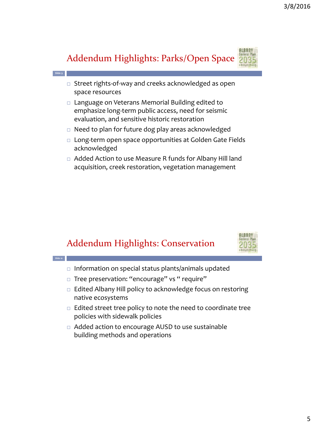# Addendum Highlights: Parks/Open Space

**Slide 9**

**Slide 10**



**ALBANY** 

- □ Street rights-of-way and creeks acknowledged as open space resources
- □ Language on Veterans Memorial Building edited to emphasize long-term public access, need for seismic evaluation, and sensitive historic restoration
- Need to plan for future dog play areas acknowledged
- □ Long-term open space opportunities at Golden Gate Fields acknowledged
- □ Added Action to use Measure R funds for Albany Hill land acquisition, creek restoration, vegetation management

## Addendum Highlights: Conservation



- $\Box$  Information on special status plants/animals updated
- □ Tree preservation: "encourage" vs " require"
- □ Edited Albany Hill policy to acknowledge focus on restoring native ecosystems
- $\Box$  Edited street tree policy to note the need to coordinate tree policies with sidewalk policies
- □ Added action to encourage AUSD to use sustainable building methods and operations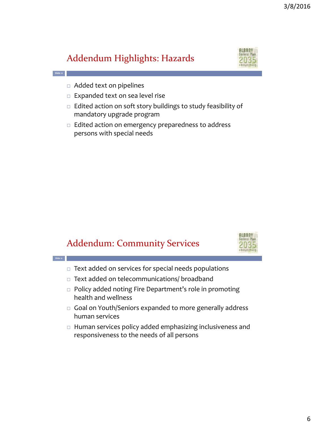#### Addendum Highlights: Hazards



Added text on pipelines

**Slide 11**

**Slide 12**

- $\Box$  Expanded text on sea level rise
- $\Box$  Edited action on soft story buildings to study feasibility of mandatory upgrade program
- $\Box$  Edited action on emergency preparedness to address persons with special needs

#### Addendum: Community Services



- $\Box$  Text added on services for special needs populations
- $\Box$  Text added on telecommunications/ broadband
- $\Box$  Policy added noting Fire Department's role in promoting health and wellness
- □ Goal on Youth/Seniors expanded to more generally address human services
- □ Human services policy added emphasizing inclusiveness and responsiveness to the needs of all persons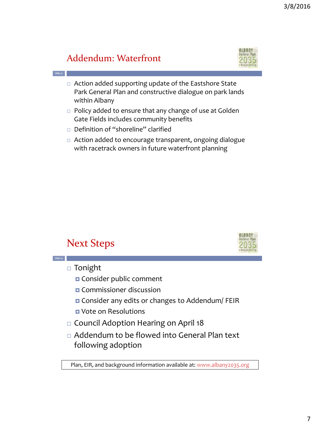#### Addendum: Waterfront

**Slide 13**



- □ Action added supporting update of the Eastshore State Park General Plan and constructive dialogue on park lands within Albany
- $\Box$  Policy added to ensure that any change of use at Golden Gate Fields includes community benefits
- $\Box$  Definition of "shoreline" clarified
- Action added to encourage transparent, ongoing dialogue with racetrack owners in future waterfront planning

### Next Steps



#### □ Tonight

**Slide 14**

- **O** Consider public comment
- **Q** Commissioner discussion
- **n** Consider any edits or changes to Addendum/ FEIR
- Vote on Resolutions
- □ Council Adoption Hearing on April 18
- Addendum to be flowed into General Plan text following adoption

Plan, EIR, and background information available at: [www.albany2035.org](http://www.albany2035.org/)